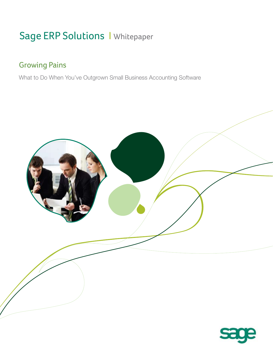# Sage ERP Solutions I Whitepaper

# Growing Pains

What to Do When You've Outgrown Small Business Accounting Software

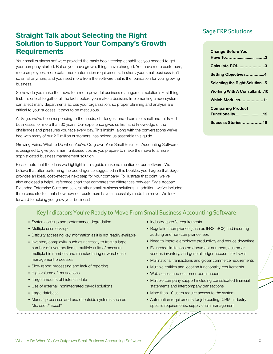# **Straight Talk about Selecting the Right**  Sage ERP Solutions **Solution to Support Your Company's Growth Requirements**

Your small business software provided the basic bookkeeping capabilities you needed to get your company started. But as you have grown, things have changed. You have more customers, more employees, more data, more automation requirements. In short, your small business isn't so small anymore, and you need more from the software that is the foundation for your growing business.

So how do you make the move to a more powerful business management solution? First things first: It's critical to gather all the facts before you make a decision. Implementing a new system can affect many departments across your organization, so proper planning and analysis are critical to your success. It pays to be meticulous.

At Sage, we've been responding to the needs, challenges, and dreams of small and midsized businesses for more than 30 years. Our experience gives us firsthand knowledge of the challenges and pressures you face every day. This insight, along with the conversations we've had with many of our 2.9 million customers, has helped us assemble this guide.

Growing Pains: What to Do when You've Outgrown Your Small Business Accounting Software is designed to give you smart, unbiased tips as you prepare to make the move to a more sophisticated business management solution.

Please note that the ideas we highlight in this guide make no mention of our software. We believe that after performing the due diligence suggested in this booklet, you'll agree that Sage provides an ideal, cost-effective next step for your company. To illustrate that point, we've also enclosed a helpful reference chart that compares the differences between Sage Accpac Extended Enterprise Suite and several other small business solutions. In addition, we've included three case studies that show how our customers have successfully made the move. We look forward to helping you grow your business!

| <b>Change Before You</b><br>Have To3 |
|--------------------------------------|
| <b>Calculate ROI3</b>                |
| Setting Objectives4                  |
| <b>Selecting the Right Solution5</b> |
| <b>Working With A Consultant10</b>   |
| <b>Which Modules11</b>               |
| <b>Comparing Product</b>             |
| <b>Functionality12</b>               |
| <b>Success Stories19</b>             |

# Key Indicators You're Ready to Move From Small Business Accounting Software

- System lock-up and performance degradation
- Multiple user lock-up
- Difficulty accessing key information as it is not readily available
- Inventory complexity, such as necessity to track a large number of inventory items, multiple units of measure, multiple bin numbers and manufacturing or warehouse management processes
- Slow report processing and lack of reporting
- High volume of transactions
- Large amounts of historical data
- Use of external, nonintegrated payroll solutions
- Large database
- Manual processes and use of outside systems such as Microsoft<sup>®</sup> Excel<sup>®</sup>
- Industry-specific requirements
- Regulation compliance (such as IFRS, SOX) and incurring auditing and non-compliance fees
- Need to improve employee productivity and reduce downtime
- Exceeded limitations on document numbers, customer, vendor, inventory, and general ledger account field sizes
- Multinational transactions and global commerce requirements
- Multiple entities and location functionality requirements
- Web access and customer portal needs
- Multiple company support including consolidated financial statements and intercompany transactions
- More than 10 users require access to the system
- Automation requirements for job costing, CRM, industry specific requirements, supply chain management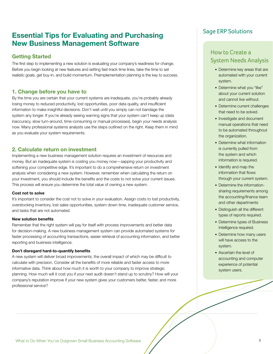# **Essential Tips for Evaluating and Purchasing Example 2 Sage ERP Solutions New Business Management Software**

# **Getting Started**

The first step to implementing a new solution is evaluating your company's readiness for change. Before you begin looking at new features and setting fast-track time lines, take the time to set realistic goals, get buy-in, and build momentum. Preimplementation planning is the key to success.

# **1. Change before you have to**

By the time you are certain that your current systems are inadequate, you're probably already losing money to reduced productivity, lost opportunities, poor data quality, and insufficient information to make insightful decisions. Don't wait until you simply can not bandage the system any longer. If you're already seeing warning signs that your system can't keep up (data inaccuracy, slow turn-around, time-consuming or manual processes), begin your needs analysis now. Many professional systems analysts use the steps outlined on the right. Keep them in mind as you evaluate your system requirements.

# **2. Calculate return on investment**

Implementing a new business management solution requires an investment of resources and money. But an inadequate system is costing you money now—sapping your productivity and softening your competitive edge. It's important to do a comprehensive return on investment analysis when considering a new system. However, remember when calculating the return on your investment, you should include the benefits and the costs to not solve your current issues. This process will ensure you determine the total value of owning a new system.

# **Cost not to solve**

It's important to consider the cost not to solve in your evaluation. Assign costs to lost productivity, overstocking inventory, lost sales opportunities, system down time, inadequate customer service, and tasks that are not automated.

# **New solution benefits**

Remember that the right system will pay for itself with process improvements and better data for decision-making. A new business management system can provide automated systems for faster processing of accounting transactions, easier retrieval of accounting information, and better reporting and business intelligence.

# **Don't disregard hard-to-quantify benefits**

A new system will deliver broad improvements, the overall impact of which may be difficult to calculate with precision. Consider all the benefits of more reliable and faster access to more informative data. Think about how much it is worth to your company to improve strategic planning. How much will it cost you if your next audit doesn't stand up to scrutiny? How will your company's reputation improve if your new system gives your customers better, faster, and more professional service?

# How to Create a System Needs Analysis

- Determine key areas that are automated with your current system.
- Determine what you "like" about your current solution and cannot live without.
- Determine current challenges that need to be solved.
- Investigate and document manual operations that need to be automated throughout the organization.
- Determine what information is currently pulled from the system and which information is required.
- Identify and map the information that flows through your current system.
- Determine the informationsharing requirements among the accounting/finance team and other departments
- Distinguish all the different types of reports required.
- Determine types of Business Intelligence required.
- Determine how many users will have access to the system.
- Ascertain the level of accounting and computer experience of potential system users.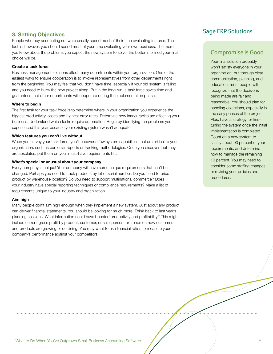People who buy accounting software usually spend most of their time evaluating features. The fact is, however, you should spend most of your time evaluating your own business. The more you know about the problems you expect the new system to solve, the better informed your final choice will be.

# **Create a task force**

Business management solutions affect many departments within your organization. One of the easiest ways to ensure cooperation is to involve representatives from other departments right from the beginning. You may feel that you don't have time, especially if your old system is failing and you need to hurry the new project along. But in the long run, a task force saves time and guarantees that other departments will cooperate during the implementation phase.

# **Where to begin**

The first task for your task force is to determine where in your organization you experience the biggest productivity losses and highest error rates. Determine how inaccuracies are affecting your business. Understand which tasks require automation. Begin by identifying the problems you experienced this year because your existing system wasn't adequate.

# **Which features you can't live without**

When you survey your task force, you'll uncover a few system capabilities that are critical to your organization, such as particular reports or tracking methodologies. Once you discover that they are absolutes, put them on your must-have requirements list.

# **What's special or unusual about your company**

Every company is unique! Your company will have some unique requirements that can't be changed. Perhaps you need to track products by lot or serial number. Do you need to price product by warehouse location? Do you need to support multinational commerce? Does your industry have special reporting techniques or compliance requirements? Make a list of requirements unique to your industry and organization.

# **Aim high**

Many people don't aim high enough when they implement a new system. Just about any product can deliver financial statements. You should be looking for much more. Think back to last year's planning sessions. What information could have boosted productivity and profitability? This might include current gross profit by product, customer, or salesperson, or trends on how customers and products are growing or declining. You may want to use financial ratios to measure your company's performance against your competitors.

# Sage ERP Solutions **3. Setting Objectives**

# Compromise is Good

Your final solution probably won't satisfy everyone in your organization, but through clear communication, planning, and education, most people will recognize that the decisions being made are fair and reasonable. You should plan for handling objections, especially in the early phases of the project. Plus, have a strategy for finetuning the system once the initial implementation is completed. Count on a new system to satisfy about 90 percent of your requirements, and determine how to manage the remaining 10 percent. You may need to consider some staffing changes or revising your policies and procedures.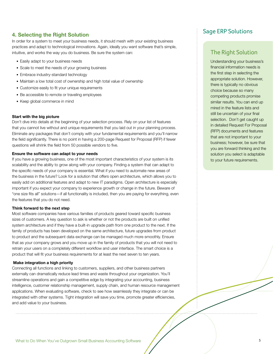# Sage ERP Solutions **4. Selecting the Right Solution**

In order for a system to meet your business needs, it should mesh with your existing business practices and adapt to technological innovations. Again, ideally you want software that's simple, intuitive, and works the way you do business. Be sure the system can:

- Easily adapt to your business needs
- Scale to meet the needs of your growing business
- Embrace industry-standard technology
- Maintain a low total cost of ownership and high total value of ownership
- Customize easily to fit your unique requirements
- Be accessible to remote or traveling employees
- Keep global commerce in mind

### **Start with the big picture**

Don't dive into details at the beginning of your selection process. Rely on your list of features that you cannot live without and unique requirements that you laid out in your planning process. Eliminate any packages that don't comply with your fundamental requirements and you'll narrow the field significantly. There is no point in having a 200-page Request for Proposal (RFP) if fewer questions will shrink the field from 50 possible vendors to five.

## **Ensure the software can adapt to your needs**

If you have a growing business, one of the most important characteristics of your system is its scalability and the ability to grow along with your company. Finding a system that can adapt to the specific needs of your company is essential. What if you need to automate new areas of the business in the future? Look for a solution that offers open architecture, which allows you to easily add on additional features and adapt to new IT paradigms. Open architecture is especially important if you expect your company to experience growth or change in the future. Beware of "one size fits all" solutions—if all functionality is included, then you are paying for everything, even the features that you do not need.

## **Think forward to the next step**

Most software companies have various families of products geared toward specific business sizes of customers. A key question to ask is whether or not the products are built on unified system architecture and if they have a built-in upgrade path from one product to the next. If the family of products has been developed on the same architecture, future upgrades from product to product and the subsequent data exchange can be managed much more smoothly. Ensure that as your company grows and you move up in the family of products that you will not need to retrain your users on a completely different workflow and user interface. The smart choice is a product that will fit your business requirements for at least the next seven to ten years.

### **Make integration a high priority**

Connecting all functions and linking to customers, suppliers, and other business partners externally can dramatically reduce lead times and waste throughout your organization. You'll streamline operations and gain a competitive edge by integrating your accounting, business intelligence, customer relationship management, supply chain, and human resource management applications. When evaluating software, check to see how seamlessly they integrate or can be integrated with other systems. Tight integration will save you time, promote greater efficiencies, and add value to your business.

# The Right Solution

Understanding your business's financial information needs is the first step in selecting the appropriate solution. However, there is typically no obvious choice because so many competing products promise similar results. You can end up mired in the feature lists and still be uncertain of your final selection. Don't get caught up in detailed Request For Proposal (RFP) documents and features that are not important to your business; however, be sure that you are forward thinking and the solution you select is adaptable to your future requirements.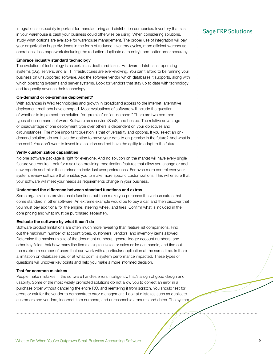Integration is especially important for manufacturing and distribution companies. Inventory that sits<br>In very weekenes is each very business could otherwise be using When considering colutions  $\overline{\phantom{a}}$  Sage ERP Solution in your warehouse is cash your business could otherwise be using. When considering solutions, study what options are available for warehouse management. The proper use of integration will pay your organization huge dividends in the form of reduced inventory cycles, more efficient warehouse operations, less paperwork (including the reduction duplicate data entry), and better order accuracy.

# **Embrace industry standard technology**

The evolution of technology is as certain as death and taxes! Hardware, databases, operating systems (OS), servers, and all IT infrastructures are ever-evolving. You can't afford to be running your business on unsupported software. Ask the software vendor which databases it supports, along with which operating systems and server systems. Look for vendors that stay up to date with technology and frequently advance their technology.

### **On-demand or on-premise deployment?**

With advances in Web technologies and growth in broadband access to the Internet, alternative deployment methods have emerged. Most evaluations of software will include the question of whether to implement the solution "on-premise" or "on-demand." There are two common types of on-demand software: Software as a service (SaaS) and hosted. The relative advantage or disadvantage of one deployment type over others is dependent on your objectives and circumstances. The more important question is that of versatility and options. If you select an ondemand solution, do you have the option to move your data to on-premise in the future? And what is the cost? You don't want to invest in a solution and not have the agility to adapt to the future.

## **Verify customization capabilities**

No one software package is right for everyone. And no solution on the market will have every single feature you require. Look for a solution providing modification features that allow you change or add new reports and tailor the interface to individual user preferences. For even more control over your system, review software that enables you to make more specific customizations. This will ensure that your software will meet your needs as requirements change in your business.

### **Understand the difference between standard functions and extras**

Some organizations provide basic functions but then make you purchase the various extras that come standard in other software. An extreme example would be to buy a car, and then discover that you must pay additional for the engine, steering wheel, and tires. Confirm what is included in the core pricing and what must be purchased separately.

### **Evaluate the software by what it can't do**

Software product limitations are often much more revealing than feature list comparisons. Find out the maximum number of account types, customers, vendors, and inventory items allowed. Determine the maximum size of the document numbers, general ledger account numbers, and other key fields. Ask how many line items a single invoice or sales order can handle, and find out the maximum number of users that can work with a particular application at the same time. Is there a limitation on database size, or at what point is system performance impacted. These types of questions will uncover key points and help you make a more informed decision.

## **Test for common mistakes**

People make mistakes. If the software handles errors intelligently, that's a sign of good design and usability. Some of the most widely promoted solutions do not allow you to correct an error in a purchase order without canceling the entire P.O. and reentering it from scratch. You should test for errors or ask for the vendor to demonstrate error management. Look at mistakes such as duplicate customers and vendors, incorrect item numbers, and unreasonable amounts and dates. The system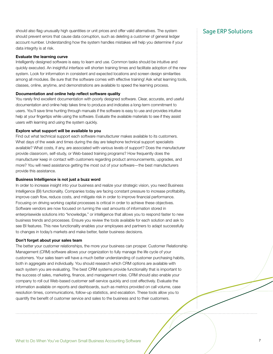should also flag unusually high quantities or unit prices and offer valid alternatives. The system  $Sage$   $\overline{ERP}$  Solutions should prevent errors that cause data corruption, such as deleting a customer of general ledger account number. Understanding how the system handles mistakes will help you determine if your data integrity is at risk.

# **Evaluate the learning curve**

Intelligently designed software is easy to learn and use. Common tasks should be intuitive and quickly executed. An insightful interface will shorten training times and facilitate adoption of the new system. Look for information in consistent and expected locations and screen design similarities among all modules. Be sure that the software comes with effective training! Ask what learning tools, classes, online, anytime, and demonstrations are available to speed the learning process.

# **Documentation and online help reflect software quality**

You rarely find excellent documentation with poorly designed software. Clear, accurate, and useful documentation and online help takes time to produce and indicates a long-term commitment to users. You'll save time hunting through manuals if the software is easy to use and provides intuitive help at your fingertips while using the software. Evaluate the available materials to see if they assist users with learning and using the system quickly.

# **Explore what support will be available to you**

Find out what technical support each software manufacturer makes available to its customers. What days of the week and times during the day are telephone technical support specialists available? What costs, if any, are associated with various levels of support? Does the manufacturer provide classroom, self-study, or Web-based training programs? How frequently does the manufacturer keep in contact with customers regarding product announcements, upgrades, and more? You will need assistance getting the most out of your software—the best manufacturers provide this assistance.

# **Business Intelligence is not just a buzz word**

In order to increase insight into your business and realize your strategic vision, you need Business Intelligence (BI) functionality. Companies today are facing constant pressure to increase profitability, improve cash flow, reduce costs, and mitigate risk in order to improve financial performance. Focusing on driving working capital processes is critical in order to achieve these objectives. Software vendors are now focused on turning the vast amounts of information stored in enterprisewide solutions into "knowledge," or intelligence that allows you to respond faster to new business trends and processes. Ensure you review the tools available for each solution and ask to see BI features. This new functionality enables your employees and partners to adapt successfully to changes in today's markets and make better, faster business decisions.

# **Don't forget about your sales team**

The better your customer relationships, the more your business can prosper. Customer Relationship Management (CRM) software allows your organization to fully manage the life cycle of your customers. Your sales team will have a much better understanding of customer purchasing habits, both in aggregate and individually. You should research which CRM options are available with each system you are evaluating. The best CRM systems provide functionality that is important to the success of sales, marketing, finance, and management roles. CRM should also enable your company to roll out Web-based customer self-service quickly and cost effectively. Evaluate the information available on reports and dashboards, such as metrics provided on call volume, case resolution times, communications, follow-up statistics, and escalation. These tools allow you to quantify the benefit of customer service and sales to the business and to their customers.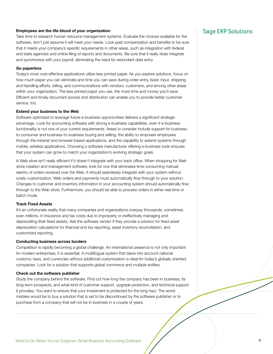# **Employees are the life-blood of your organization** Sage ERP Solutions

Take time to research human resource management systems. Evaluate the choices available for the software; don't just assume it will meet your needs. Look past compensation and benefits to be sure that it meets your company's specific requirements in other areas, such as integration with federal and state agencies and online filing of reports and documents. Be sure that it really does integrate and synchronize with your payroll, eliminating the need for redundant data entry.

# **Go paperless**

Today's most cost-effective applications utilize less printed paper. As you explore solutions, focus on how much paper you can eliminate and time you can save during order entry, basic input, shipping and handling efforts, billing, and communications with vendors, customers, and among other areas within your organization. The less printed paper you use, the more time and money you'll save. Efficient and timely document access and distribution can enable you to provide better customer service, too.

### **Extend your business to the Web**

Software optimized to leverage future e-business opportunities delivers a significant strategic advantage. Look for accounting software with strong e-business capabilities, even if e-business functionality is not one of your current requirements. Areas to consider include support for businessto-consumer and business-to-business buying and selling, the ability to empower employees through the intranet and browser-based applications, and the capability to extend systems through mobile, wireless applications. Choosing a software manufacturer offering e-business tools ensures that your system can grow to match your organization's evolving strategic goals.

A Web store isn't really efficient if it doesn't integrate with your back office. When shopping for Web store creation and management software, look for one that eliminates time-consuming manual reentry of orders received over the Web. It should seamlessly integrate with your system without costly customization. Web orders and payments must automatically flow through to your solution. Changes to customer and inventory information in your accounting system should automatically flow through to the Web store. Furthermore, you should be able to process orders in either real time or batch mode.

## **Track Fixed Assets**

It's an unfortunate reality that many companies and organizations overpay thousands, sometimes even millions, in insurance and tax costs due to improperly or ineffectively managing and depreciating their fixed assets. Ask the software vendor if they provide a solution for fixed asset depreciation calculations for financial and tax reporting, asset inventory reconciliation, and customized reporting.

## **Conducting business across borders**

Competition is rapidly becoming a global challenge. An international presence is not only important for modern enterprises, it is essential. A multilingual system that takes into account national customs, laws, and currencies without additional customization is ideal for today's globally oriented companies. Look for a solution that supports global commerce and multiple entities.

### **Check out the software publisher**

Study the company behind the software. Find out how long the company has been in business, its long-term prospects, and what kind of customer support, upgrade protection, and technical support it provides. You want to ensure that your investment is protected for the long haul. The worst mistake would be to buy a solution that is set to be discontinued by the software publisher or to purchase from a company that will not be in business in a couple of years.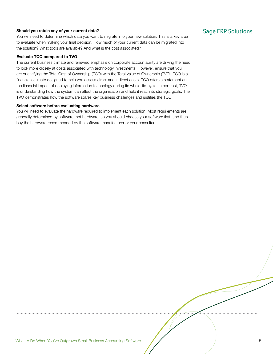# **Should you retain any of your current data?** Should you retain any of your current data?

You will need to determine which data you want to migrate into your new solution. This is a key area to evaluate when making your final decision. How much of your current data can be migrated into the solution? What tools are available? And what is the cost associated?

# **Evaluate TCO compared to TVO**

The current business climate and renewed emphasis on corporate accountability are driving the need to look more closely at costs associated with technology investments. However, ensure that you are quantifying the Total Cost of Ownership (TCO) with the Total Value of Ownership (TVO). TCO is a financial estimate designed to help you assess direct and indirect costs. TCO offers a statement on the financial impact of deploying information technology during its whole life-cycle. In contrast, TVO is understanding how the system can affect the organization and help it reach its strategic goals. The TVO demonstrates how the software solves key business challenges and justifies the TCO.

### **Select software before evaluating hardware**

You will need to evaluate the hardware required to implement each solution. Most requirements are generally determined by software, not hardware, so you should choose your software first, and then buy the hardware recommended by the software manufacturer or your consultant.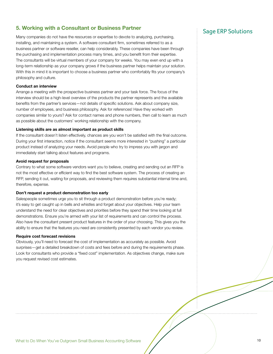# **5. Working with a Consultant or Business Partner 5. Working with a Consultant or Business Partner**

Many companies do not have the resources or expertise to devote to analyzing, purchasing, installing, and maintaining a system. A software consultant firm, sometimes referred to as a business partner or software reseller, can help considerably. These companies have been through the purchasing and implementation process many times, and you benefit from their expertise. The consultants will be virtual members of your company for weeks. You may even end up with a long-term relationship as your company grows if the business partner helps maintain your solution. With this in mind it is important to choose a business partner who comfortably fits your company's philosophy and culture.

# **Conduct an interview**

Arrange a meeting with the prospective business partner and your task force. The focus of the interview should be a high-level overview of the products the partner represents and the available benefits from the partner's services—not details of specific solutions. Ask about company size, number of employees, and business philosophy. Ask for references! Have they worked with companies similar to yours? Ask for contact names and phone numbers, then call to learn as much as possible about the customers' working relationship with the company.

## **Listening skills are as almost important as product skills**

If the consultant doesn't listen effectively, chances are you won't be satisfied with the final outcome. During your first interaction, notice if the consultant seems more interested in "pushing" a particular product instead of analyzing your needs. Avoid people who try to impress you with jargon and immediately start talking about features and programs.

## **Avoid request for proposals**

Contrary to what some software vendors want you to believe, creating and sending out an RFP is not the most effective or efficient way to find the best software system. The process of creating an RFP, sending it out, waiting for proposals, and reviewing them requires substantial internal time and, therefore, expense.

### **Don't request a product demonstration too early**

Salespeople sometimes urge you to sit through a product demonstration before you're ready; it's easy to get caught up in bells and whistles and forget about your objectives. Help your team understand the need for clear objectives and priorities before they spend their time looking at full demonstrations. Ensure you're armed with your list of requirements and can control the process. Also have the consultant present product features in the order of your choosing. This gives you the ability to ensure that the features you need are consistently presented by each vendor you review.

## **Require cost forecast revisions**

Obviously, you'll need to forecast the cost of implementation as accurately as possible. Avoid surprises—get a detailed breakdown of costs and fees before and during the requirements phase. Look for consultants who provide a "fixed cost" implementation. As objectives change, make sure you request revised cost estimates.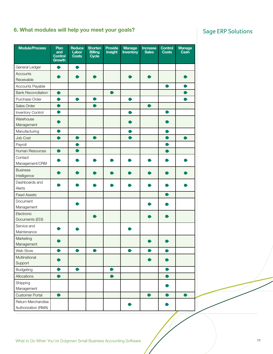# **6. What modules will help you meet your goals?** Sage ERP Solutions

| <b>Module/Process</b>      | Plan<br>and<br><b>Control</b><br><b>Growth</b> | Reduce<br>Labor<br><b>Costs</b> | <b>Shorten</b><br><b>Billing</b><br>Cycle | Provide<br>Insight | <b>Manage</b><br><b>Inventory</b> | <b>Increase</b><br><b>Sales</b> | Control<br><b>Costs</b> | <b>Manage</b><br>Cash |
|----------------------------|------------------------------------------------|---------------------------------|-------------------------------------------|--------------------|-----------------------------------|---------------------------------|-------------------------|-----------------------|
| General Ledger             | $\bullet$                                      | $\bullet$                       |                                           |                    |                                   |                                 |                         |                       |
| Accounts<br>Receivable     |                                                |                                 |                                           |                    |                                   |                                 |                         |                       |
| Accounts Payable           |                                                |                                 |                                           |                    |                                   |                                 | $\bullet$               | $\bullet$             |
| <b>Bank Reconciliation</b> |                                                |                                 |                                           |                    |                                   |                                 |                         |                       |
| Purchase Order             |                                                | $\bullet$                       |                                           |                    |                                   |                                 |                         |                       |
| Sales Order                |                                                |                                 |                                           |                    |                                   |                                 |                         |                       |
| <b>Inventory Control</b>   |                                                |                                 |                                           |                    |                                   |                                 |                         |                       |
| Warehouse                  |                                                |                                 |                                           |                    |                                   |                                 |                         |                       |
| Management                 |                                                |                                 |                                           |                    |                                   |                                 |                         |                       |
| Manufacturing              |                                                |                                 |                                           |                    |                                   |                                 |                         |                       |
| Job Cost                   |                                                | $\bullet$                       | $\bullet$                                 |                    |                                   |                                 |                         |                       |
| Payroll                    |                                                |                                 |                                           |                    |                                   |                                 |                         |                       |
| Human Resources            | ●                                              | $\bullet$                       |                                           |                    |                                   |                                 |                         |                       |
| Contact                    |                                                |                                 |                                           |                    |                                   |                                 |                         |                       |
| Management/CRM             |                                                |                                 |                                           |                    |                                   |                                 |                         |                       |
| <b>Business</b>            |                                                |                                 |                                           |                    |                                   |                                 |                         |                       |
| Intelligence               |                                                |                                 |                                           |                    |                                   |                                 |                         |                       |
| Dashboards and             |                                                |                                 |                                           |                    |                                   |                                 |                         |                       |
| Alerts                     |                                                |                                 |                                           |                    |                                   |                                 |                         |                       |
| <b>Fixed Assets</b>        |                                                |                                 |                                           |                    |                                   |                                 |                         |                       |
| Document                   |                                                |                                 |                                           |                    |                                   |                                 |                         |                       |
| Management                 |                                                |                                 |                                           |                    |                                   |                                 |                         |                       |
| Electronic                 |                                                |                                 |                                           |                    |                                   |                                 |                         |                       |
| Documents (EDI)            |                                                |                                 |                                           |                    |                                   |                                 |                         |                       |
| Service and                |                                                |                                 |                                           |                    |                                   |                                 |                         |                       |
| Maintenance                |                                                |                                 |                                           |                    |                                   |                                 |                         |                       |
| Marketing                  |                                                |                                 |                                           |                    |                                   |                                 |                         |                       |
| Management                 |                                                |                                 |                                           |                    |                                   |                                 |                         |                       |
| Web Store                  |                                                |                                 |                                           |                    |                                   |                                 |                         |                       |
| Multinational<br>Support   |                                                |                                 |                                           |                    |                                   |                                 |                         |                       |
| Budgeting                  |                                                | $\bullet$                       |                                           | $\bullet$          |                                   |                                 |                         |                       |
| Allocations                |                                                |                                 |                                           | $\bullet$          |                                   |                                 |                         |                       |
|                            |                                                |                                 |                                           |                    |                                   |                                 |                         |                       |
| Shipping<br>Management     |                                                |                                 |                                           |                    |                                   |                                 |                         |                       |
| <b>Customer Portal</b>     | $\bullet$                                      |                                 |                                           |                    |                                   | $\bullet$                       |                         | $\bullet$             |
| Return Merchandise         |                                                |                                 |                                           |                    |                                   |                                 |                         |                       |
| Authorization (RMA)        |                                                |                                 |                                           |                    |                                   |                                 |                         |                       |
|                            |                                                |                                 |                                           |                    |                                   |                                 |                         |                       |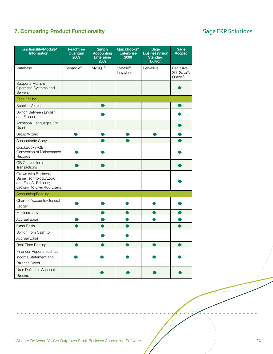# **7. Comparing Product Functionality Comparing Product Functionality Sage ERP Solutions**

| <b>Functionality/Module/</b><br><b>Information</b>                                                  | <b>Peachtree</b><br>Quantum<br>2009 | <b>Simply</b><br><b>Accounting</b><br><b>Enterprise</b><br>2009 | QuickBooks <sup>®</sup><br><b>Enterprise</b><br>2009 | <b>Sage</b><br><b>BusinessVision</b><br><b>Standard</b><br><b>Edition</b> | <b>Sage</b><br><b>Accpac</b>          |
|-----------------------------------------------------------------------------------------------------|-------------------------------------|-----------------------------------------------------------------|------------------------------------------------------|---------------------------------------------------------------------------|---------------------------------------|
| Database                                                                                            | Pervasive <sup>®</sup>              | MySQL®                                                          | Sybase®<br>lanywhere                                 | Pervasive                                                                 | Pervasive,<br>SQL Server®,<br>Oracle® |
| <b>Supports Multiple</b><br>Operating Systems and<br><b>Servers</b>                                 |                                     |                                                                 |                                                      |                                                                           |                                       |
| Ease Of Use                                                                                         |                                     |                                                                 |                                                      |                                                                           |                                       |
| Spanish Version                                                                                     |                                     | œ                                                               |                                                      |                                                                           | $\bullet$                             |
| Switch Between English<br>and French                                                                |                                     |                                                                 |                                                      |                                                                           |                                       |
| Additional Languages (Per<br>User)                                                                  |                                     |                                                                 |                                                      |                                                                           |                                       |
| Setup Wizard                                                                                        |                                     |                                                                 |                                                      |                                                                           |                                       |
| <b>Accountants Copy</b>                                                                             |                                     |                                                                 |                                                      |                                                                           |                                       |
| QuickBooks (QB)<br>Conversion of Maintenance<br>Records                                             |                                     |                                                                 |                                                      |                                                                           |                                       |
| QB Conversion of<br>Transactions                                                                    |                                     |                                                                 |                                                      |                                                                           |                                       |
| Grows with Business;<br>Same Technology/Look<br>and Feel All Editions;<br>Growing to Over 400 Users |                                     |                                                                 |                                                      |                                                                           |                                       |
| Accounting/Banking                                                                                  |                                     |                                                                 |                                                      |                                                                           |                                       |
| Chart of Accounts/General<br>Ledger                                                                 |                                     |                                                                 |                                                      |                                                                           |                                       |
| Multicurrency                                                                                       |                                     |                                                                 |                                                      |                                                                           |                                       |
| <b>Accrual Basis</b>                                                                                |                                     |                                                                 |                                                      |                                                                           |                                       |
| Cash Basis                                                                                          |                                     |                                                                 |                                                      |                                                                           |                                       |
| Switch from Cash to                                                                                 |                                     |                                                                 |                                                      |                                                                           |                                       |
| <b>Accrual Basis</b>                                                                                |                                     |                                                                 |                                                      |                                                                           |                                       |
| Real-Time Posting                                                                                   |                                     |                                                                 |                                                      |                                                                           |                                       |
| Financial Reports such as<br>Income Statement and<br><b>Balance Sheet</b>                           |                                     |                                                                 |                                                      |                                                                           |                                       |
| User-Definable Account<br>Ranges                                                                    |                                     |                                                                 |                                                      |                                                                           |                                       |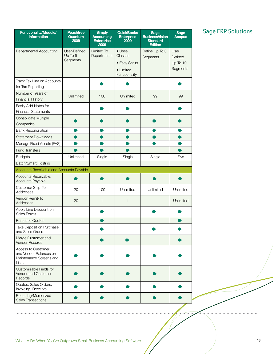| <b>Functionality/Module/</b><br><b>Information</b>                               | <b>Peachtree</b><br>Quantum<br>2009 | <b>Simply</b><br><b>Accounting</b><br><b>Enterprise</b><br>2009 | <b>QuickBooks</b><br><b>Enterprise</b><br>2009                          | <b>Sage</b><br><b>BusinessVision</b><br><b>Standard</b><br><b>Edition</b> | <b>Sage</b><br><b>Accpac</b>            |
|----------------------------------------------------------------------------------|-------------------------------------|-----------------------------------------------------------------|-------------------------------------------------------------------------|---------------------------------------------------------------------------|-----------------------------------------|
| Departmental Accounting                                                          | User-Defined<br>Up To 5<br>Segments | <b>Limited To</b><br>Departments                                | $\bullet$ Uses<br>Classes<br>• Easy Setup<br>• Limited<br>Functionality | Define Up To 3<br>Segments                                                | User<br>Defined<br>Up To 10<br>Segments |
| Track Tax Line on Accounts<br>for Tax Reporting                                  |                                     |                                                                 |                                                                         |                                                                           |                                         |
| Number of Years of<br><b>Financial History</b>                                   | Unlimited                           | 100                                                             | Unlimited                                                               | 99                                                                        | 99                                      |
| Easily Add Notes for<br><b>Financial Statements</b>                              |                                     |                                                                 |                                                                         |                                                                           |                                         |
| Consolidate Multiple<br>Companies                                                |                                     |                                                                 |                                                                         |                                                                           |                                         |
| <b>Bank Reconciliation</b>                                                       |                                     |                                                                 |                                                                         |                                                                           |                                         |
| <b>Statement Downloads</b>                                                       |                                     |                                                                 |                                                                         |                                                                           |                                         |
| Manage Fixed Assets (FAS)                                                        |                                     |                                                                 |                                                                         |                                                                           |                                         |
| <b>Fund Transfers</b>                                                            |                                     |                                                                 |                                                                         |                                                                           |                                         |
| <b>Budgets</b>                                                                   | Unlimited                           | Single                                                          | Single                                                                  | Single                                                                    | Five                                    |
| <b>Batch/Smart Posting</b>                                                       |                                     |                                                                 |                                                                         |                                                                           |                                         |
| Accounts Receivable and Accounts Payable                                         |                                     |                                                                 |                                                                         |                                                                           |                                         |
| Accounts Receivable,<br>Accounts Payable                                         |                                     |                                                                 |                                                                         |                                                                           |                                         |
| Customer Ship-To<br>Addresses                                                    | 20                                  | 100                                                             | Unlimited                                                               | Unlimited                                                                 | Unlimited                               |
| Vendor Remit-To<br>Addresses                                                     | 20                                  | 1                                                               | 1                                                                       |                                                                           | Unlimited                               |
| Apply Line Discount on<br>Sales Forms                                            |                                     |                                                                 |                                                                         |                                                                           |                                         |
| <b>Purchase Quotes</b>                                                           |                                     |                                                                 |                                                                         |                                                                           |                                         |
| Take Deposit on Purchase<br>and Sales Orders                                     |                                     |                                                                 |                                                                         |                                                                           |                                         |
| Merge Customer and<br>Vendor Records                                             |                                     |                                                                 |                                                                         |                                                                           |                                         |
| Access to Customer<br>and Vendor Balances on<br>Maintenance Screens and<br>Lists |                                     |                                                                 |                                                                         |                                                                           |                                         |
| Customizable Fields for<br>Vendor and Customer<br><b>Records</b>                 |                                     |                                                                 |                                                                         |                                                                           |                                         |
| Quotes, Sales Orders,<br>Invoicing, Receipts                                     |                                     |                                                                 |                                                                         |                                                                           |                                         |
| Recurring/Memorized<br><b>Sales Transactions</b>                                 |                                     |                                                                 |                                                                         |                                                                           |                                         |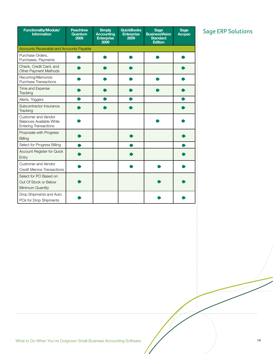| <b>Functionality/Module/</b><br><b>Information</b>                              | <b>Peachtree</b><br>Quantum<br>2009 | <b>Simply</b><br><b>Accounting</b><br><b>Enterprise</b><br>2009 | <b>QuickBooks</b><br><b>Enterprise</b><br>2009 | <b>Sage</b><br><b>BusinessVision</b><br><b>Standard</b><br><b>Edition</b> | <b>Sage</b><br><b>Accpac</b> |
|---------------------------------------------------------------------------------|-------------------------------------|-----------------------------------------------------------------|------------------------------------------------|---------------------------------------------------------------------------|------------------------------|
| Accounts Receivable and Accounts Payable                                        |                                     |                                                                 |                                                |                                                                           |                              |
| Purchase Orders,<br>Purchases, Payments                                         |                                     |                                                                 |                                                |                                                                           |                              |
| Check, Credit Card, and<br>Other Payment Methods                                |                                     |                                                                 |                                                |                                                                           |                              |
| Recurring/Memorize<br><b>Purchase Transactions</b>                              |                                     |                                                                 |                                                |                                                                           |                              |
| Time and Expense<br><b>Tracking</b>                                             |                                     |                                                                 |                                                |                                                                           |                              |
| Alerts, Triggers                                                                |                                     |                                                                 |                                                |                                                                           |                              |
| Subcontractor Insurance<br>Tracking                                             |                                     |                                                                 |                                                |                                                                           |                              |
| Customer and Vendor<br>Balances Available While<br><b>Entering Transactions</b> |                                     |                                                                 |                                                |                                                                           |                              |
| Proposals with Progress<br>Billing                                              |                                     |                                                                 |                                                |                                                                           |                              |
| Select for Progress Billing                                                     |                                     |                                                                 |                                                |                                                                           |                              |
| Account Register for Quick<br>Entry                                             |                                     |                                                                 |                                                |                                                                           |                              |
| Customer and Vendor<br><b>Credit Memos Transactions</b>                         |                                     |                                                                 |                                                |                                                                           |                              |
| Select for PO Based on<br>Out Of Stock or Below<br>Minimum Quantity             |                                     |                                                                 |                                                |                                                                           |                              |
| Drop Shipments and Auto<br>POs for Drop Shipments                               |                                     |                                                                 |                                                |                                                                           |                              |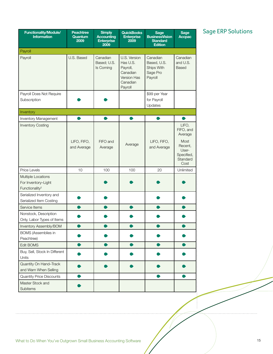| <b>Functionality/Module/</b><br><b>Information</b>                      | <b>Peachtree</b><br>Quantum<br>2009 | <b>Simply</b><br><b>Accounting</b><br><b>Enterprise</b><br>2009 | <b>QuickBooks</b><br><b>Enterprise</b><br>2009                                         | <b>Sage</b><br><b>BusinessVision</b><br><b>Standard</b><br><b>Edition</b> | <b>Sage</b><br><b>Accpac</b>                                                                |
|-------------------------------------------------------------------------|-------------------------------------|-----------------------------------------------------------------|----------------------------------------------------------------------------------------|---------------------------------------------------------------------------|---------------------------------------------------------------------------------------------|
| Payroll                                                                 |                                     |                                                                 |                                                                                        |                                                                           |                                                                                             |
| Payroll                                                                 | U.S. Based                          | Canadian<br>Based; U.S.<br>Is Coming                            | U.S. Version<br>Has U.S.<br>Payroll,<br>Canadian<br>Version Has<br>Canadian<br>Payroll | Canadian<br>Based, U.S.<br>Ships With<br>Sage Pro<br>Payroll              | Canadian<br>and U.S.<br>Based                                                               |
| Payroll Does Not Require                                                |                                     |                                                                 |                                                                                        | \$99 per Year                                                             |                                                                                             |
| Subscription                                                            |                                     |                                                                 |                                                                                        | for Payroll<br>Updates                                                    |                                                                                             |
| Inventory                                                               |                                     |                                                                 |                                                                                        |                                                                           |                                                                                             |
| <b>Inventory Management</b>                                             |                                     |                                                                 |                                                                                        |                                                                           |                                                                                             |
| <b>Inventory Costing</b>                                                | LIFO, FIFO,<br>and Average          | FIFO and<br>Average                                             | Average                                                                                | LIFO, FIFO,<br>and Average                                                | LIFO,<br>FIFO, and<br>Average<br>Most<br>Recent,<br>User-<br>Specified,<br>Standard<br>Cost |
| Price Levels                                                            | 10                                  | 100                                                             | 100                                                                                    | 20                                                                        | Unlimited                                                                                   |
| Multiple Locations<br>For Inventory-Light<br>Functionality <sup>2</sup> |                                     |                                                                 |                                                                                        |                                                                           |                                                                                             |
| Serialized Inventory and<br>Serialized Item Costing                     |                                     |                                                                 |                                                                                        |                                                                           |                                                                                             |
| Service Items                                                           |                                     |                                                                 |                                                                                        |                                                                           |                                                                                             |
| Nonstock, Description<br>Only, Labor Types of Items                     |                                     |                                                                 |                                                                                        |                                                                           |                                                                                             |
| Inventory Assembly/BOM                                                  |                                     |                                                                 |                                                                                        |                                                                           |                                                                                             |
| <b>BOMS</b> (Assemblies in<br>Peachtree)                                |                                     |                                                                 |                                                                                        |                                                                           |                                                                                             |
| Edit BOMS                                                               |                                     |                                                                 |                                                                                        |                                                                           |                                                                                             |
| Buy, Sell, Stock In Different<br>Units                                  |                                     |                                                                 |                                                                                        |                                                                           |                                                                                             |
| Quantity On Hand-Track<br>and Warn When Selling                         |                                     |                                                                 |                                                                                        |                                                                           |                                                                                             |
| <b>Quantity Price Discounts</b>                                         |                                     |                                                                 |                                                                                        |                                                                           |                                                                                             |
| Master Stock and<br>Subitems                                            |                                     |                                                                 |                                                                                        |                                                                           |                                                                                             |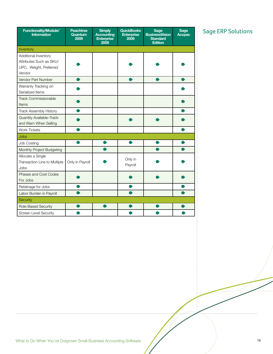| Functionality/Module/<br><b>Information</b>                                         | <b>Peachtree</b><br>Quantum<br>2009 | <b>Simply</b><br><b>Accounting</b><br><b>Enterprise</b><br>2009 | <b>QuickBooks</b><br><b>Enterprise</b><br>2009 | <b>Sage</b><br><b>BusinessVision</b><br><b>Standard</b><br><b>Edition</b> | <b>Sage</b><br><b>Accpac</b> |
|-------------------------------------------------------------------------------------|-------------------------------------|-----------------------------------------------------------------|------------------------------------------------|---------------------------------------------------------------------------|------------------------------|
| Inventory                                                                           |                                     |                                                                 |                                                |                                                                           |                              |
| Additional Inventory<br>Attributes Such as SKU/<br>UPC, Weight, Preferred<br>Vendor |                                     |                                                                 |                                                |                                                                           |                              |
| Vendor Part Number                                                                  |                                     |                                                                 |                                                |                                                                           |                              |
| Warranty Tracking on<br>Serialized Items                                            |                                     |                                                                 |                                                |                                                                           |                              |
| Track Commissionable<br>Items                                                       |                                     |                                                                 |                                                |                                                                           |                              |
| Track Assembly History                                                              |                                     |                                                                 |                                                |                                                                           |                              |
| Quantity Available-Track<br>and Warn When Selling                                   |                                     |                                                                 |                                                |                                                                           |                              |
| <b>Work Tickets</b>                                                                 |                                     |                                                                 |                                                |                                                                           |                              |
| <b>Jobs</b>                                                                         |                                     |                                                                 |                                                |                                                                           |                              |
| Job Costing                                                                         |                                     |                                                                 |                                                |                                                                           |                              |
| Monthly Project Budgeting                                                           |                                     |                                                                 |                                                |                                                                           |                              |
| Allocate a Single<br>Transaction Line to Multiple<br>Jobs                           | Only in Payroll                     |                                                                 | Only in<br>Payroll                             |                                                                           |                              |
| Phases and Cost Codes<br>For Jobs                                                   |                                     |                                                                 |                                                |                                                                           |                              |
| Retainage for Jobs                                                                  |                                     |                                                                 |                                                |                                                                           |                              |
| Labor Burden in Payroll                                                             |                                     |                                                                 |                                                |                                                                           |                              |
| <b>Security</b>                                                                     |                                     |                                                                 |                                                |                                                                           |                              |
| Role-Based Security                                                                 |                                     |                                                                 |                                                |                                                                           |                              |
| Screen Level Security                                                               |                                     |                                                                 |                                                |                                                                           |                              |

 $\frac{1}{2}$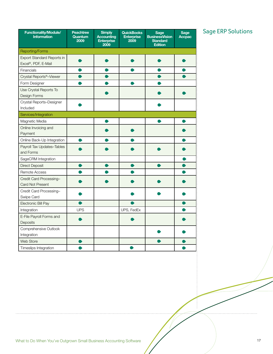| Functionality/Module/<br><b>Information</b>        | <b>Peachtree</b><br>Quantum<br>2009 | <b>Simply</b><br><b>Accounting</b><br><b>Enterprise</b><br>2009 | <b>QuickBooks</b><br><b>Enterprise</b><br>2009 | Sage<br><b>BusinessVision</b><br><b>Standard</b><br><b>Edition</b> | <b>Sage</b><br><b>Accpac</b> |  |  |  |  |
|----------------------------------------------------|-------------------------------------|-----------------------------------------------------------------|------------------------------------------------|--------------------------------------------------------------------|------------------------------|--|--|--|--|
| <b>Reporting/Forms</b>                             |                                     |                                                                 |                                                |                                                                    |                              |  |  |  |  |
| Export Standard Reports in<br>Excel®, PDF, E-Mail  |                                     |                                                                 |                                                |                                                                    |                              |  |  |  |  |
| Financials                                         |                                     |                                                                 |                                                |                                                                    |                              |  |  |  |  |
| Crystal Reports <sup>®_Viewer</sup>                |                                     |                                                                 |                                                |                                                                    |                              |  |  |  |  |
| Form Designer                                      |                                     |                                                                 |                                                |                                                                    |                              |  |  |  |  |
| Use Crystal Reports To<br>Design Forms             |                                     |                                                                 |                                                |                                                                    |                              |  |  |  |  |
| Crystal Reports-Designer<br>Included               |                                     |                                                                 |                                                |                                                                    |                              |  |  |  |  |
| Services/Integration                               |                                     |                                                                 |                                                |                                                                    |                              |  |  |  |  |
| Magnetic Media                                     |                                     |                                                                 |                                                |                                                                    |                              |  |  |  |  |
| Online Invoicing and<br>Payment                    |                                     |                                                                 |                                                |                                                                    |                              |  |  |  |  |
| Online Back-Up Integration                         |                                     |                                                                 |                                                |                                                                    |                              |  |  |  |  |
| Payroll Tax Updates-Tables<br>and Forms            |                                     |                                                                 |                                                |                                                                    |                              |  |  |  |  |
| SageCRM Integration                                |                                     |                                                                 |                                                |                                                                    |                              |  |  |  |  |
| <b>Direct Deposit</b>                              |                                     |                                                                 |                                                |                                                                    |                              |  |  |  |  |
| Remote Access                                      |                                     |                                                                 |                                                |                                                                    |                              |  |  |  |  |
| Credit Card Processing-<br><b>Card Not Present</b> |                                     |                                                                 |                                                |                                                                    |                              |  |  |  |  |
| Credit Card Processing-<br>Swipe Card              |                                     |                                                                 |                                                |                                                                    |                              |  |  |  |  |
| Electronic Bill Pay                                |                                     |                                                                 |                                                |                                                                    |                              |  |  |  |  |
| Integration                                        | <b>UPS</b>                          |                                                                 | UPS, FedEx                                     |                                                                    |                              |  |  |  |  |
| E-File Payroll Forms and<br>Deposits               |                                     |                                                                 |                                                |                                                                    |                              |  |  |  |  |
| Comprehensive Outlook<br>Integration               |                                     |                                                                 |                                                |                                                                    |                              |  |  |  |  |
| <b>Web Store</b>                                   |                                     |                                                                 |                                                |                                                                    |                              |  |  |  |  |
| Timeslips Integration                              |                                     |                                                                 |                                                |                                                                    |                              |  |  |  |  |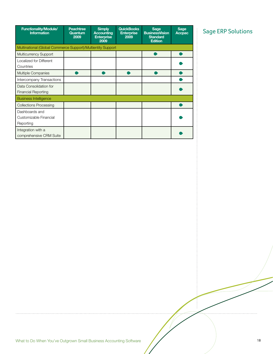| <b>Functionality/Module/</b><br><b>Information</b>    | <b>Peachtree</b><br>Quantum<br>2009                         | <b>Simply</b><br><b>Accounting</b><br><b>Enterprise</b><br>2009 | <b>QuickBooks</b><br><b>Enterprise</b><br>2009 | <b>Sage</b><br><b>BusinessVision</b><br><b>Standard</b><br><b>Edition</b> | Sage<br><b>Accpac</b> |  |  |  |  |
|-------------------------------------------------------|-------------------------------------------------------------|-----------------------------------------------------------------|------------------------------------------------|---------------------------------------------------------------------------|-----------------------|--|--|--|--|
|                                                       | Multinational (Global Commerce Support)/Multientity Support |                                                                 |                                                |                                                                           |                       |  |  |  |  |
| Multicurrency Support                                 |                                                             |                                                                 |                                                |                                                                           |                       |  |  |  |  |
| Localized for Different<br>Countries                  |                                                             |                                                                 |                                                |                                                                           |                       |  |  |  |  |
| Multiple Companies                                    |                                                             |                                                                 |                                                |                                                                           |                       |  |  |  |  |
| Intercompany Transactions                             |                                                             |                                                                 |                                                |                                                                           |                       |  |  |  |  |
| Data Consolidation for<br><b>Financial Reporting</b>  |                                                             |                                                                 |                                                |                                                                           |                       |  |  |  |  |
| <b>Business Intelligence</b>                          |                                                             |                                                                 |                                                |                                                                           |                       |  |  |  |  |
| <b>Collections Processing</b>                         |                                                             |                                                                 |                                                |                                                                           |                       |  |  |  |  |
| Dashboards and<br>Customizable Financial<br>Reporting |                                                             |                                                                 |                                                |                                                                           |                       |  |  |  |  |
| Integration with a<br>comprehensive CRM Suite         |                                                             |                                                                 |                                                |                                                                           |                       |  |  |  |  |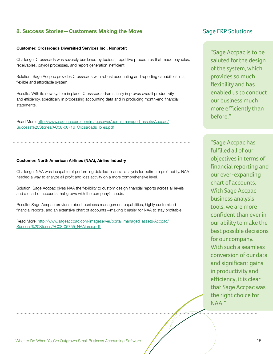# **8. Success Stories—Customers Making the Move**

## **Customer: Crossroads Diversified Services Inc., Nonprofit**

Challenge: Crossroads was severely burdened by tedious, repetitive procedures that made payables, receivables, payroll processes, and report generation inefficient.

Solution: Sage Accpac provides Crossroads with robust accounting and reporting capabilities in a flexible and affordable system.

Results: With its new system in place, Crossroads dramatically improves overall productivity and efficiency, specifically in processing accounting data and in producing month-end financial statements.

Read More: http://www.sageaccpac.com/imageserver/portal\_managed\_assets/Accpac/ Success%20Stories/AC08-06716 Crossroads lores.pdf

### **Customer: North American Airlines (NAA), Airline Industry**

Challenge: NAA was incapable of performing detailed financial analysis for optimum profitability. NAA needed a way to analyze all profit and loss activity on a more comprehensive level.

Solution: Sage Accpac gives NAA the flexibility to custom design financial reports across all levels and a chart of accounts that grows with the company's needs.

Results: Sage Accpac provides robust business management capabilities, highly customized financial reports, and an extensive chart of accounts—making it easier for NAA to stay profitable.

Read More: http://www.sageaccpac.com/imageserver/portal\_managed\_assets/Accpac/ Success%20Stories/AC08-06755\_NAAlores.pdf

# Sage ERP Solutions

"Sage Accpac is to be saluted for the design of the system, which provides so much flexibility and has enabled us to conduct our business much more efficiently than before."

"Sage Accpac has fulfilled all of our objectives in terms of financial reporting and our ever-expanding chart of accounts. With Sage Accpac business analysis tools, we are more confident than ever in our ability to make the best possible decisions for our company. With such a seamless conversion of our data and significant gains in productivity and efficiency, it is clear that Sage Accpac was the right choice for NAA."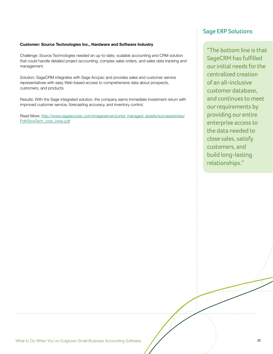## **Customer: Source Technologies Inc., Hardware and Software Industry**

Challenge: Source Technologies needed an up-to-date, scalable accounting and CRM solution that could handle detailed project accounting, complex sales orders, and sales data tracking and management.

Solution: SageCRM integrates with Sage Accpac and provides sales and customer service representatives with easy Web-based access to comprehensive data about prospects, customers, and products.

Results: With the Sage integrated solution, the company earns immediate investment return with improved customer service, forecasting accuracy, and inventory control.

Read More: http://www.sageaccpac.com/imageserver/portal\_managed\_assets/successstories/ Pdf/SrceTech\_corp\_lores.pdf

# Sage ERP Solutions

"The bottom line is that SageCRM has fulfilled our initial needs for the centralized creation of an all-inclusive customer database, and continues to meet our requirements by providing our entire enterprise access to the data needed to close sales, satisfy customers, and build long-lasting relationships."